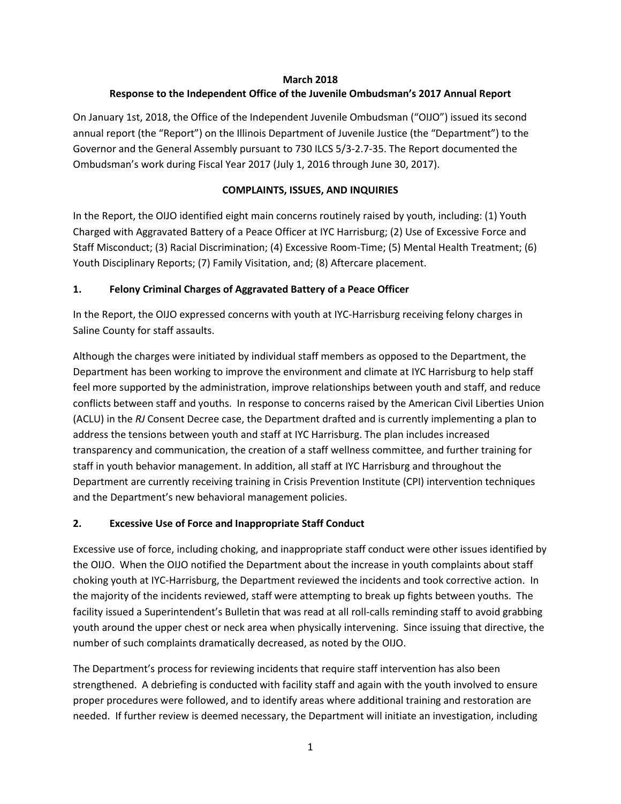#### **March 2018**

## **Response to the Independent Office of the Juvenile Ombudsman's 2017 Annual Report**

On January 1st, 2018, the Office of the Independent Juvenile Ombudsman ("OIJO") issued its second annual report (the "Report") on the Illinois Department of Juvenile Justice (the "Department") to the Governor and the General Assembly pursuant to 730 ILCS 5/3-2.7-35. The Report documented the Ombudsman's work during Fiscal Year 2017 (July 1, 2016 through June 30, 2017).

### **COMPLAINTS, ISSUES, AND INQUIRIES**

In the Report, the OIJO identified eight main concerns routinely raised by youth, including: (1) Youth Charged with Aggravated Battery of a Peace Officer at IYC Harrisburg; (2) Use of Excessive Force and Staff Misconduct; (3) Racial Discrimination; (4) Excessive Room-Time; (5) Mental Health Treatment; (6) Youth Disciplinary Reports; (7) Family Visitation, and; (8) Aftercare placement.

### **1. Felony Criminal Charges of Aggravated Battery of a Peace Officer**

In the Report, the OIJO expressed concerns with youth at IYC-Harrisburg receiving felony charges in Saline County for staff assaults.

Although the charges were initiated by individual staff members as opposed to the Department, the Department has been working to improve the environment and climate at IYC Harrisburg to help staff feel more supported by the administration, improve relationships between youth and staff, and reduce conflicts between staff and youths. In response to concerns raised by the American Civil Liberties Union (ACLU) in the *RJ* Consent Decree case, the Department drafted and is currently implementing a plan to address the tensions between youth and staff at IYC Harrisburg. The plan includes increased transparency and communication, the creation of a staff wellness committee, and further training for staff in youth behavior management. In addition, all staff at IYC Harrisburg and throughout the Department are currently receiving training in Crisis Prevention Institute (CPI) intervention techniques and the Department's new behavioral management policies.

### **2. Excessive Use of Force and Inappropriate Staff Conduct**

Excessive use of force, including choking, and inappropriate staff conduct were other issues identified by the OIJO. When the OIJO notified the Department about the increase in youth complaints about staff choking youth at IYC-Harrisburg, the Department reviewed the incidents and took corrective action. In the majority of the incidents reviewed, staff were attempting to break up fights between youths. The facility issued a Superintendent's Bulletin that was read at all roll-calls reminding staff to avoid grabbing youth around the upper chest or neck area when physically intervening. Since issuing that directive, the number of such complaints dramatically decreased, as noted by the OIJO.

The Department's process for reviewing incidents that require staff intervention has also been strengthened. A debriefing is conducted with facility staff and again with the youth involved to ensure proper procedures were followed, and to identify areas where additional training and restoration are needed. If further review is deemed necessary, the Department will initiate an investigation, including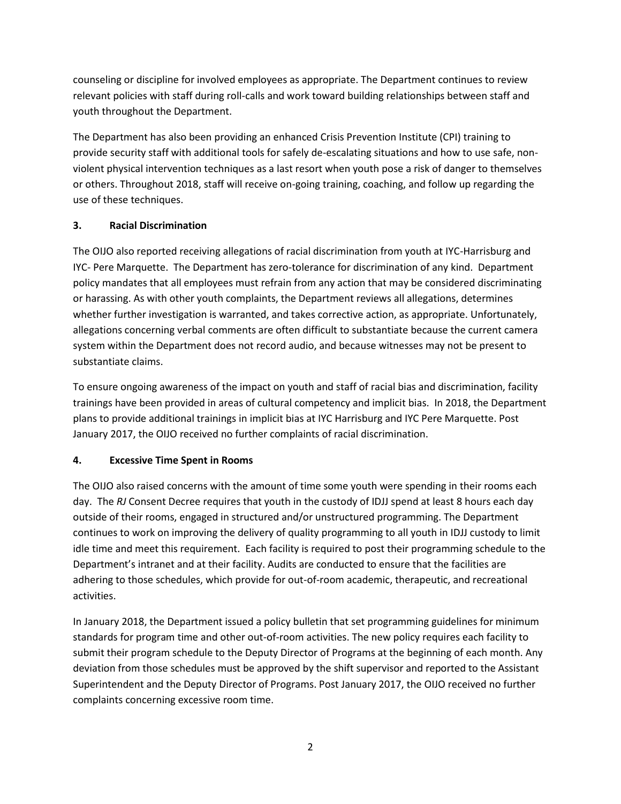counseling or discipline for involved employees as appropriate. The Department continues to review relevant policies with staff during roll-calls and work toward building relationships between staff and youth throughout the Department.

The Department has also been providing an enhanced Crisis Prevention Institute (CPI) training to provide security staff with additional tools for safely de-escalating situations and how to use safe, nonviolent physical intervention techniques as a last resort when youth pose a risk of danger to themselves or others. Throughout 2018, staff will receive on-going training, coaching, and follow up regarding the use of these techniques.

### **3. Racial Discrimination**

The OIJO also reported receiving allegations of racial discrimination from youth at IYC-Harrisburg and IYC- Pere Marquette. The Department has zero-tolerance for discrimination of any kind. Department policy mandates that all employees must refrain from any action that may be considered discriminating or harassing. As with other youth complaints, the Department reviews all allegations, determines whether further investigation is warranted, and takes corrective action, as appropriate. Unfortunately, allegations concerning verbal comments are often difficult to substantiate because the current camera system within the Department does not record audio, and because witnesses may not be present to substantiate claims.

To ensure ongoing awareness of the impact on youth and staff of racial bias and discrimination, facility trainings have been provided in areas of cultural competency and implicit bias. In 2018, the Department plans to provide additional trainings in implicit bias at IYC Harrisburg and IYC Pere Marquette. Post January 2017, the OIJO received no further complaints of racial discrimination.

# **4. Excessive Time Spent in Rooms**

The OIJO also raised concerns with the amount of time some youth were spending in their rooms each day. The *RJ* Consent Decree requires that youth in the custody of IDJJ spend at least 8 hours each day outside of their rooms, engaged in structured and/or unstructured programming. The Department continues to work on improving the delivery of quality programming to all youth in IDJJ custody to limit idle time and meet this requirement. Each facility is required to post their programming schedule to the Department's intranet and at their facility. Audits are conducted to ensure that the facilities are adhering to those schedules, which provide for out-of-room academic, therapeutic, and recreational activities.

In January 2018, the Department issued a policy bulletin that set programming guidelines for minimum standards for program time and other out-of-room activities. The new policy requires each facility to submit their program schedule to the Deputy Director of Programs at the beginning of each month. Any deviation from those schedules must be approved by the shift supervisor and reported to the Assistant Superintendent and the Deputy Director of Programs. Post January 2017, the OIJO received no further complaints concerning excessive room time.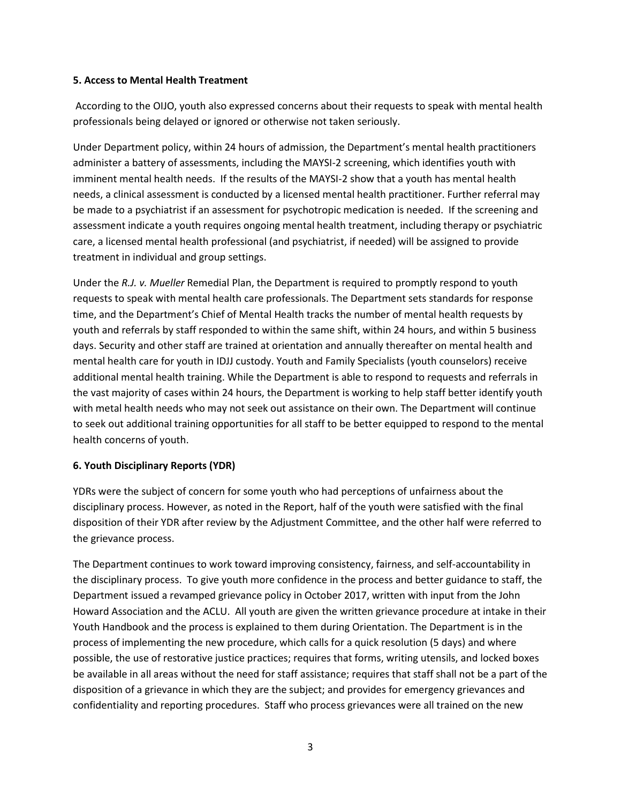#### **5. Access to Mental Health Treatment**

According to the OIJO, youth also expressed concerns about their requests to speak with mental health professionals being delayed or ignored or otherwise not taken seriously.

Under Department policy, within 24 hours of admission, the Department's mental health practitioners administer a battery of assessments, including the MAYSI-2 screening, which identifies youth with imminent mental health needs. If the results of the MAYSI-2 show that a youth has mental health needs, a clinical assessment is conducted by a licensed mental health practitioner. Further referral may be made to a psychiatrist if an assessment for psychotropic medication is needed. If the screening and assessment indicate a youth requires ongoing mental health treatment, including therapy or psychiatric care, a licensed mental health professional (and psychiatrist, if needed) will be assigned to provide treatment in individual and group settings.

Under the *R.J. v. Mueller* Remedial Plan, the Department is required to promptly respond to youth requests to speak with mental health care professionals. The Department sets standards for response time, and the Department's Chief of Mental Health tracks the number of mental health requests by youth and referrals by staff responded to within the same shift, within 24 hours, and within 5 business days. Security and other staff are trained at orientation and annually thereafter on mental health and mental health care for youth in IDJJ custody. Youth and Family Specialists (youth counselors) receive additional mental health training. While the Department is able to respond to requests and referrals in the vast majority of cases within 24 hours, the Department is working to help staff better identify youth with metal health needs who may not seek out assistance on their own. The Department will continue to seek out additional training opportunities for all staff to be better equipped to respond to the mental health concerns of youth.

### **6. Youth Disciplinary Reports (YDR)**

YDRs were the subject of concern for some youth who had perceptions of unfairness about the disciplinary process. However, as noted in the Report, half of the youth were satisfied with the final disposition of their YDR after review by the Adjustment Committee, and the other half were referred to the grievance process.

The Department continues to work toward improving consistency, fairness, and self-accountability in the disciplinary process. To give youth more confidence in the process and better guidance to staff, the Department issued a revamped grievance policy in October 2017, written with input from the John Howard Association and the ACLU. All youth are given the written grievance procedure at intake in their Youth Handbook and the process is explained to them during Orientation. The Department is in the process of implementing the new procedure, which calls for a quick resolution (5 days) and where possible, the use of restorative justice practices; requires that forms, writing utensils, and locked boxes be available in all areas without the need for staff assistance; requires that staff shall not be a part of the disposition of a grievance in which they are the subject; and provides for emergency grievances and confidentiality and reporting procedures. Staff who process grievances were all trained on the new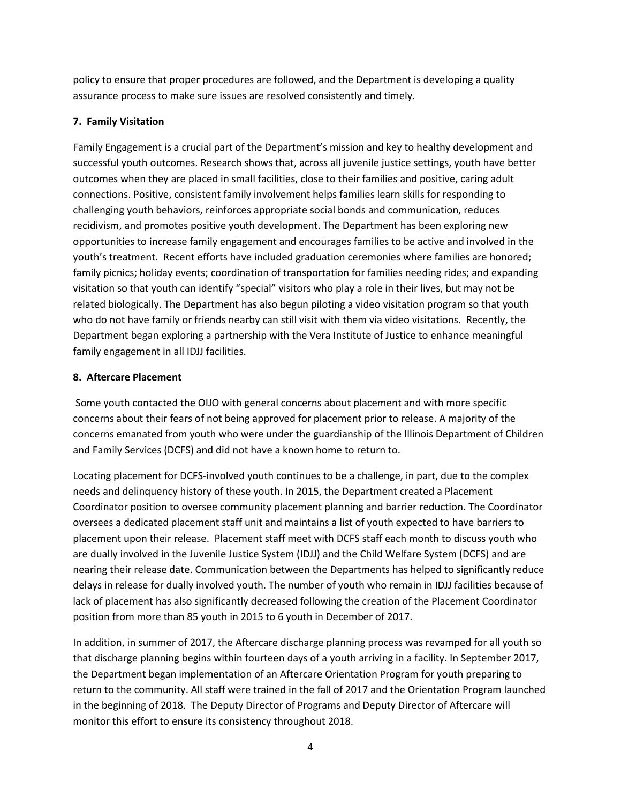policy to ensure that proper procedures are followed, and the Department is developing a quality assurance process to make sure issues are resolved consistently and timely.

### **7. Family Visitation**

Family Engagement is a crucial part of the Department's mission and key to healthy development and successful youth outcomes. Research shows that, across all juvenile justice settings, youth have better outcomes when they are placed in small facilities, close to their families and positive, caring adult connections. Positive, consistent family involvement helps families learn skills for responding to challenging youth behaviors, reinforces appropriate social bonds and communication, reduces recidivism, and promotes positive youth development. The Department has been exploring new opportunities to increase family engagement and encourages families to be active and involved in the youth's treatment. Recent efforts have included graduation ceremonies where families are honored; family picnics; holiday events; coordination of transportation for families needing rides; and expanding visitation so that youth can identify "special" visitors who play a role in their lives, but may not be related biologically. The Department has also begun piloting a video visitation program so that youth who do not have family or friends nearby can still visit with them via video visitations. Recently, the Department began exploring a partnership with the Vera Institute of Justice to enhance meaningful family engagement in all IDJJ facilities.

### **8. Aftercare Placement**

Some youth contacted the OIJO with general concerns about placement and with more specific concerns about their fears of not being approved for placement prior to release. A majority of the concerns emanated from youth who were under the guardianship of the Illinois Department of Children and Family Services (DCFS) and did not have a known home to return to.

Locating placement for DCFS-involved youth continues to be a challenge, in part, due to the complex needs and delinquency history of these youth. In 2015, the Department created a Placement Coordinator position to oversee community placement planning and barrier reduction. The Coordinator oversees a dedicated placement staff unit and maintains a list of youth expected to have barriers to placement upon their release. Placement staff meet with DCFS staff each month to discuss youth who are dually involved in the Juvenile Justice System (IDJJ) and the Child Welfare System (DCFS) and are nearing their release date. Communication between the Departments has helped to significantly reduce delays in release for dually involved youth. The number of youth who remain in IDJJ facilities because of lack of placement has also significantly decreased following the creation of the Placement Coordinator position from more than 85 youth in 2015 to 6 youth in December of 2017.

In addition, in summer of 2017, the Aftercare discharge planning process was revamped for all youth so that discharge planning begins within fourteen days of a youth arriving in a facility. In September 2017, the Department began implementation of an Aftercare Orientation Program for youth preparing to return to the community. All staff were trained in the fall of 2017 and the Orientation Program launched in the beginning of 2018. The Deputy Director of Programs and Deputy Director of Aftercare will monitor this effort to ensure its consistency throughout 2018.